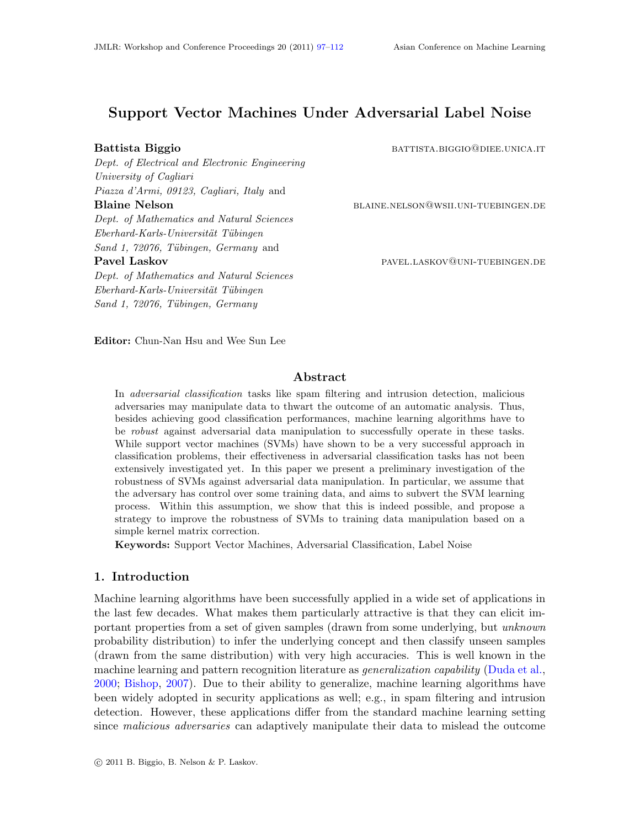# Support Vector Machines Under Adversarial Label Noise

Dept. of Electrical and Electronic Engineering University of Cagliari Piazza d'Armi, 09123, Cagliari, Italy and Blaine Nelson blaine.nelson@wsii.uni-tuebingen.de Dept. of Mathematics and Natural Sciences  $Eberhard-Karls-Universität Tübingen$ Sand 1, 72076, Tübingen, Germany and Pavel Laskov **particle in the particle in the pavel** pavel. LASKOV@UNI-TUEBINGEN.DE

Dept. of Mathematics and Natural Sciences  $Eberhard-Karls-Universität Tübingen$ Sand 1, 72076, Tübingen, Germany

Battista Biggio battista.biggio battista.biggio battista.it battista.it battista battista battista b

Editor: Chun-Nan Hsu and Wee Sun Lee

# Abstract

In adversarial classification tasks like spam filtering and intrusion detection, malicious adversaries may manipulate data to thwart the outcome of an automatic analysis. Thus, besides achieving good classification performances, machine learning algorithms have to be robust against adversarial data manipulation to successfully operate in these tasks. While support vector machines (SVMs) have shown to be a very successful approach in classification problems, their effectiveness in adversarial classification tasks has not been extensively investigated yet. In this paper we present a preliminary investigation of the robustness of SVMs against adversarial data manipulation. In particular, we assume that the adversary has control over some training data, and aims to subvert the SVM learning process. Within this assumption, we show that this is indeed possible, and propose a strategy to improve the robustness of SVMs to training data manipulation based on a simple kernel matrix correction.

Keywords: Support Vector Machines, Adversarial Classification, Label Noise

# 1. Introduction

Machine learning algorithms have been successfully applied in a wide set of applications in the last few decades. What makes them particularly attractive is that they can elicit important properties from a set of given samples (drawn from some underlying, but unknown probability distribution) to infer the underlying concept and then classify unseen samples (drawn from the same distribution) with very high accuracies. This is well known in the machine learning and pattern recognition literature as *generalization capability* [\(Duda et al.,](#page-15-1) [2000;](#page-15-1) [Bishop,](#page-14-0) [2007\)](#page-14-0). Due to their ability to generalize, machine learning algorithms have been widely adopted in security applications as well; e.g., in spam filtering and intrusion detection. However, these applications differ from the standard machine learning setting since *malicious adversaries* can adaptively manipulate their data to mislead the outcome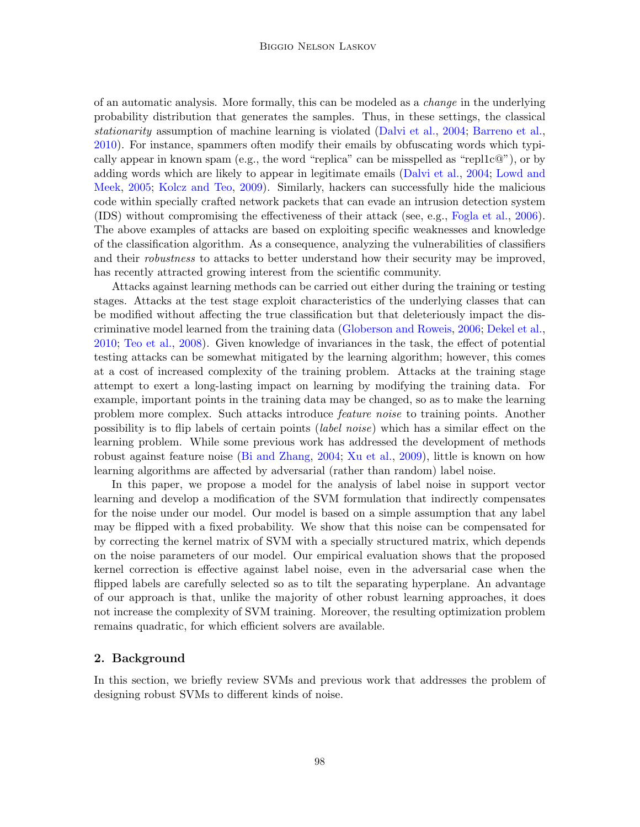of an automatic analysis. More formally, this can be modeled as a change in the underlying probability distribution that generates the samples. Thus, in these settings, the classical stationarity assumption of machine learning is violated [\(Dalvi et al.,](#page-15-2) [2004;](#page-15-2) [Barreno et al.,](#page-14-1) [2010\)](#page-14-1). For instance, spammers often modify their emails by obfuscating words which typically appear in known spam (e.g., the word "replica" can be misspelled as "repl1c $\mathbb{Q}$ "), or by adding words which are likely to appear in legitimate emails [\(Dalvi et al.,](#page-15-2) [2004;](#page-15-2) [Lowd and](#page-15-3) [Meek,](#page-15-3) [2005;](#page-15-3) [Kolcz and Teo,](#page-15-4) [2009\)](#page-15-4). Similarly, hackers can successfully hide the malicious code within specially crafted network packets that can evade an intrusion detection system (IDS) without compromising the effectiveness of their attack (see, e.g., [Fogla et al.,](#page-15-5) [2006\)](#page-15-5). The above examples of attacks are based on exploiting specific weaknesses and knowledge of the classification algorithm. As a consequence, analyzing the vulnerabilities of classifiers and their *robustness* to attacks to better understand how their security may be improved, has recently attracted growing interest from the scientific community.

Attacks against learning methods can be carried out either during the training or testing stages. Attacks at the test stage exploit characteristics of the underlying classes that can be modified without affecting the true classification but that deleteriously impact the discriminative model learned from the training data [\(Globerson and Roweis,](#page-15-6) [2006;](#page-15-6) [Dekel et al.,](#page-15-7) [2010;](#page-15-7) [Teo et al.,](#page-15-8) [2008\)](#page-15-8). Given knowledge of invariances in the task, the effect of potential testing attacks can be somewhat mitigated by the learning algorithm; however, this comes at a cost of increased complexity of the training problem. Attacks at the training stage attempt to exert a long-lasting impact on learning by modifying the training data. For example, important points in the training data may be changed, so as to make the learning problem more complex. Such attacks introduce feature noise to training points. Another possibility is to flip labels of certain points (label noise) which has a similar effect on the learning problem. While some previous work has addressed the development of methods robust against feature noise [\(Bi and Zhang,](#page-14-2) [2004;](#page-14-2) [Xu et al.,](#page-15-9) [2009\)](#page-15-9), little is known on how learning algorithms are affected by adversarial (rather than random) label noise.

In this paper, we propose a model for the analysis of label noise in support vector learning and develop a modification of the SVM formulation that indirectly compensates for the noise under our model. Our model is based on a simple assumption that any label may be flipped with a fixed probability. We show that this noise can be compensated for by correcting the kernel matrix of SVM with a specially structured matrix, which depends on the noise parameters of our model. Our empirical evaluation shows that the proposed kernel correction is effective against label noise, even in the adversarial case when the flipped labels are carefully selected so as to tilt the separating hyperplane. An advantage of our approach is that, unlike the majority of other robust learning approaches, it does not increase the complexity of SVM training. Moreover, the resulting optimization problem remains quadratic, for which efficient solvers are available.

## 2. Background

In this section, we briefly review SVMs and previous work that addresses the problem of designing robust SVMs to different kinds of noise.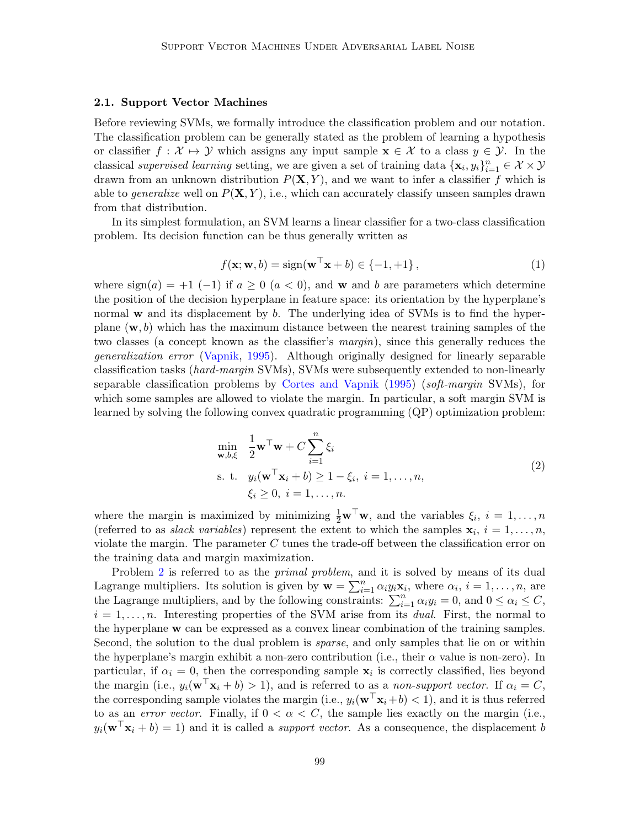# 2.1. Support Vector Machines

Before reviewing SVMs, we formally introduce the classification problem and our notation. The classification problem can be generally stated as the problem of learning a hypothesis or classifier  $f : \mathcal{X} \mapsto \mathcal{Y}$  which assigns any input sample  $\mathbf{x} \in \mathcal{X}$  to a class  $y \in \mathcal{Y}$ . In the classical supervised learning setting, we are given a set of training data  $\{x_i, y_i\}_{i=1}^n \in \mathcal{X} \times \mathcal{Y}$ drawn from an unknown distribution  $P(X, Y)$ , and we want to infer a classifier f which is able to *generalize* well on  $P(X, Y)$ , i.e., which can accurately classify unseen samples drawn from that distribution.

In its simplest formulation, an SVM learns a linear classifier for a two-class classification problem. Its decision function can be thus generally written as

$$
f(\mathbf{x}; \mathbf{w}, b) = \text{sign}(\mathbf{w}^\top \mathbf{x} + b) \in \{-1, +1\},\tag{1}
$$

where  $sign(a) = +1$  (-1) if  $a \ge 0$  ( $a < 0$ ), and w and b are parameters which determine the position of the decision hyperplane in feature space: its orientation by the hyperplane's normal w and its displacement by b. The underlying idea of SVMs is to find the hyperplane  $(w, b)$  which has the maximum distance between the nearest training samples of the two classes (a concept known as the classifier's margin), since this generally reduces the generalization error [\(Vapnik,](#page-15-10) [1995\)](#page-15-10). Although originally designed for linearly separable classification tasks (hard-margin SVMs), SVMs were subsequently extended to non-linearly separable classification problems by [Cortes and Vapnik](#page-15-11) [\(1995\)](#page-15-11) (soft-margin SVMs), for which some samples are allowed to violate the margin. In particular, a soft margin SVM is learned by solving the following convex quadratic programming (QP) optimization problem:

<span id="page-2-0"></span>
$$
\min_{\mathbf{w},b,\xi} \quad \frac{1}{2} \mathbf{w}^\top \mathbf{w} + C \sum_{i=1}^n \xi_i
$$
\n
$$
\text{s. t.} \quad y_i(\mathbf{w}^\top \mathbf{x}_i + b) \ge 1 - \xi_i, \ i = 1, \dots, n,
$$
\n
$$
\xi_i \ge 0, \ i = 1, \dots, n.
$$
\n(2)

where the margin is maximized by minimizing  $\frac{1}{2}\mathbf{w}^{\top}\mathbf{w}$ , and the variables  $\xi_i$ ,  $i = 1, ..., n$ (referred to as *slack variables*) represent the extent to which the samples  $\mathbf{x}_i$ ,  $i = 1, \ldots, n$ , violate the margin. The parameter  $C$  tunes the trade-off between the classification error on the training data and margin maximization.

Problem [2](#page-2-0) is referred to as the *primal problem*, and it is solved by means of its dual Lagrange multipliers. Its solution is given by  $\mathbf{w} = \sum_{i=1}^{n} \alpha_i y_i \mathbf{x}_i$ , where  $\alpha_i$ ,  $i = 1, \ldots, n$ , are the Lagrange multipliers, and by the following constraints:  $\sum_{i=1}^{n} \alpha_i y_i = 0$ , and  $0 \leq \alpha_i \leq C$ ,  $i = 1, \ldots, n$ . Interesting properties of the SVM arise from its *dual*. First, the normal to the hyperplane w can be expressed as a convex linear combination of the training samples. Second, the solution to the dual problem is *sparse*, and only samples that lie on or within the hyperplane's margin exhibit a non-zero contribution (i.e., their  $\alpha$  value is non-zero). In particular, if  $\alpha_i = 0$ , then the corresponding sample  $\mathbf{x}_i$  is correctly classified, lies beyond the margin (i.e.,  $y_i(\mathbf{w}^\top \mathbf{x}_i + b) > 1$ ), and is referred to as a non-support vector. If  $\alpha_i = C$ , the corresponding sample violates the margin (i.e.,  $y_i(\mathbf{w}^T \mathbf{x}_i + b) < 1$ ), and it is thus referred to as an *error vector*. Finally, if  $0 < \alpha < C$ , the sample lies exactly on the margin (i.e.,  $y_i(\mathbf{w}^\top \mathbf{x}_i + b) = 1$  and it is called a *support vector*. As a consequence, the displacement b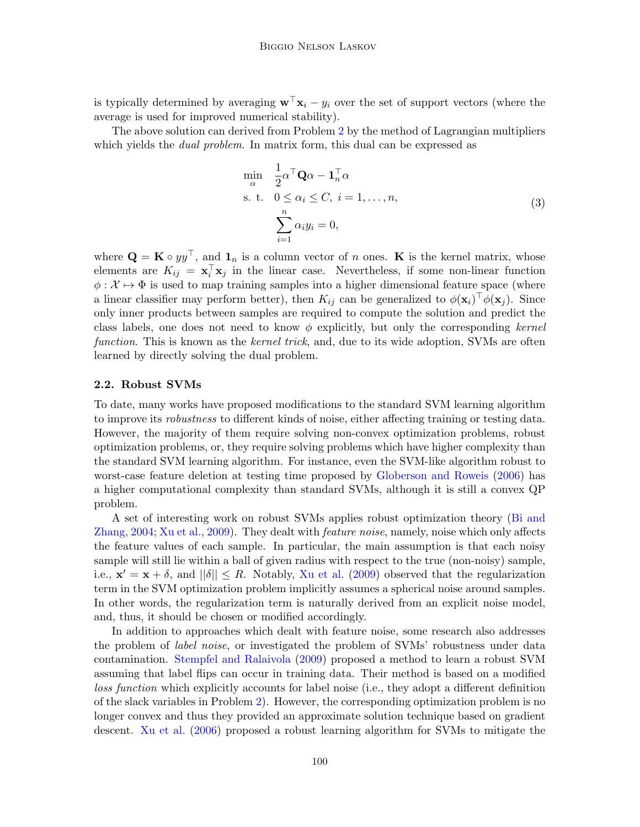is typically determined by averaging  $\mathbf{w}^\top \mathbf{x}_i - y_i$  over the set of support vectors (where the average is used for improved numerical stability).

The above solution can derived from Problem [2](#page-2-0) by the method of Lagrangian multipliers which yields the *dual problem*. In matrix form, this dual can be expressed as

<span id="page-3-0"></span>
$$
\min_{\alpha} \quad \frac{1}{2} \alpha^{\top} \mathbf{Q} \alpha - \mathbf{1}_{n}^{\top} \alpha
$$
\n
$$
\text{s. t.} \quad 0 \le \alpha_{i} \le C, \ i = 1, \dots, n,
$$
\n
$$
\sum_{i=1}^{n} \alpha_{i} y_{i} = 0,
$$
\n
$$
(3)
$$

where  $\mathbf{Q} = \mathbf{K} \circ yy^{\top}$ , and  $\mathbf{1}_n$  is a column vector of n ones.  $\mathbf{K}$  is the kernel matrix, whose elements are  $K_{ij} = \mathbf{x}_i^{\top} \mathbf{x}_j$  in the linear case. Nevertheless, if some non-linear function  $\phi: \mathcal{X} \mapsto \Phi$  is used to map training samples into a higher dimensional feature space (where a linear classifier may perform better), then  $K_{ij}$  can be generalized to  $\phi(\mathbf{x}_i)^\top \phi(\mathbf{x}_j)$ . Since only inner products between samples are required to compute the solution and predict the class labels, one does not need to know  $\phi$  explicitly, but only the corresponding kernel function. This is known as the *kernel trick*, and, due to its wide adoption, SVMs are often learned by directly solving the dual problem.

### <span id="page-3-1"></span>2.2. Robust SVMs

To date, many works have proposed modifications to the standard SVM learning algorithm to improve its robustness to different kinds of noise, either affecting training or testing data. However, the majority of them require solving non-convex optimization problems, robust optimization problems, or, they require solving problems which have higher complexity than the standard SVM learning algorithm. For instance, even the SVM-like algorithm robust to worst-case feature deletion at testing time proposed by [Globerson and Roweis](#page-15-6) [\(2006\)](#page-15-6) has a higher computational complexity than standard SVMs, although it is still a convex QP problem.

A set of interesting work on robust SVMs applies robust optimization theory [\(Bi and](#page-14-2) [Zhang,](#page-14-2) [2004;](#page-14-2) [Xu et al.,](#page-15-9) [2009\)](#page-15-9). They dealt with *feature noise*, namely, noise which only affects the feature values of each sample. In particular, the main assumption is that each noisy sample will still lie within a ball of given radius with respect to the true (non-noisy) sample, i.e.,  $\mathbf{x}' = \mathbf{x} + \delta$ , and  $||\delta|| \leq R$ . Notably, [Xu et al.](#page-15-9) [\(2009\)](#page-15-9) observed that the regularization term in the SVM optimization problem implicitly assumes a spherical noise around samples. In other words, the regularization term is naturally derived from an explicit noise model, and, thus, it should be chosen or modified accordingly.

In addition to approaches which dealt with feature noise, some research also addresses the problem of *label noise*, or investigated the problem of SVMs' robustness under data contamination. [Stempfel and Ralaivola](#page-15-12) [\(2009\)](#page-15-12) proposed a method to learn a robust SVM assuming that label flips can occur in training data. Their method is based on a modified loss function which explicitly accounts for label noise (i.e., they adopt a different definition of the slack variables in Problem [2\)](#page-2-0). However, the corresponding optimization problem is no longer convex and thus they provided an approximate solution technique based on gradient descent. [Xu et al.](#page-15-13) [\(2006\)](#page-15-13) proposed a robust learning algorithm for SVMs to mitigate the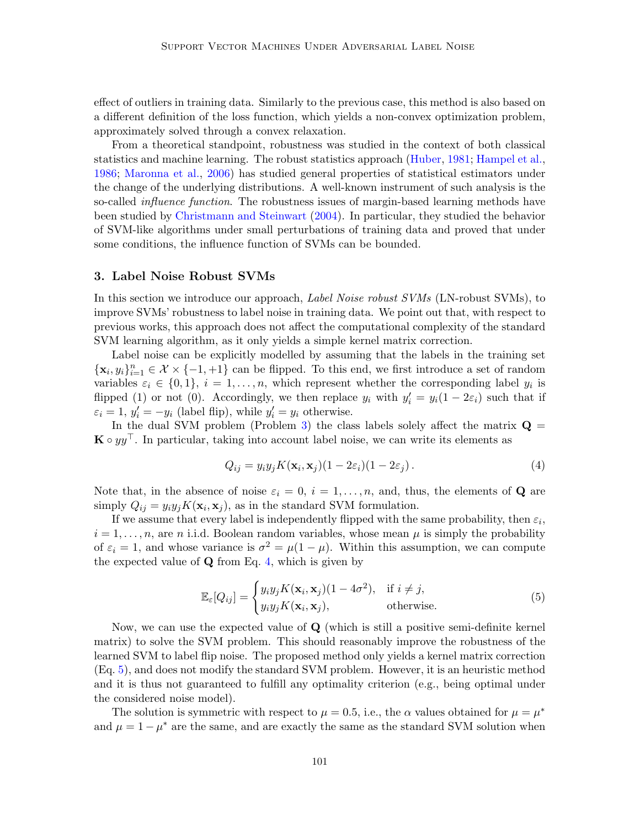effect of outliers in training data. Similarly to the previous case, this method is also based on a different definition of the loss function, which yields a non-convex optimization problem, approximately solved through a convex relaxation.

From a theoretical standpoint, robustness was studied in the context of both classical statistics and machine learning. The robust statistics approach [\(Huber,](#page-15-14) [1981;](#page-15-14) [Hampel et al.,](#page-15-15) [1986;](#page-15-15) [Maronna et al.,](#page-15-16) [2006\)](#page-15-16) has studied general properties of statistical estimators under the change of the underlying distributions. A well-known instrument of such analysis is the so-called *influence function*. The robustness issues of margin-based learning methods have been studied by [Christmann and Steinwart](#page-15-17) [\(2004\)](#page-15-17). In particular, they studied the behavior of SVM-like algorithms under small perturbations of training data and proved that under some conditions, the influence function of SVMs can be bounded.

# <span id="page-4-2"></span>3. Label Noise Robust SVMs

In this section we introduce our approach, *Label Noise robust SVMs* (LN-robust SVMs), to improve SVMs' robustness to label noise in training data. We point out that, with respect to previous works, this approach does not affect the computational complexity of the standard SVM learning algorithm, as it only yields a simple kernel matrix correction.

Label noise can be explicitly modelled by assuming that the labels in the training set  $\{\mathbf x_i, y_i\}_{i=1}^n \in \mathcal X \times \{-1, +1\}$  can be flipped. To this end, we first introduce a set of random variables  $\varepsilon_i \in \{0,1\}, i=1,\ldots,n$ , which represent whether the corresponding label  $y_i$  is flipped (1) or not (0). Accordingly, we then replace  $y_i$  with  $y'_i = y_i(1 - 2\varepsilon_i)$  such that if  $\varepsilon_i = 1, y'_i = -y_i$  (label flip), while  $y'_i = y_i$  otherwise.

In the dual SVM problem (Problem [3\)](#page-3-0) the class labels solely affect the matrix  $\mathbf{Q} =$  $\mathbf{K} \circ yy^\top$ . In particular, taking into account label noise, we can write its elements as

<span id="page-4-0"></span>
$$
Q_{ij} = y_i y_j K(\mathbf{x}_i, \mathbf{x}_j)(1 - 2\varepsilon_i)(1 - 2\varepsilon_j). \tag{4}
$$

Note that, in the absence of noise  $\varepsilon_i = 0, i = 1, \ldots, n$ , and, thus, the elements of **Q** are simply  $Q_{ij} = y_i y_j K(\mathbf{x}_i, \mathbf{x}_j)$ , as in the standard SVM formulation.

If we assume that every label is independently flipped with the same probability, then  $\varepsilon_i$ ,  $i = 1, \ldots, n$ , are n i.i.d. Boolean random variables, whose mean  $\mu$  is simply the probability of  $\varepsilon_i = 1$ , and whose variance is  $\sigma^2 = \mu(1 - \mu)$ . Within this assumption, we can compute the expected value of  $Q$  from Eq. [4,](#page-4-0) which is given by

<span id="page-4-1"></span>
$$
\mathbb{E}_{\varepsilon}[Q_{ij}] = \begin{cases} y_i y_j K(\mathbf{x}_i, \mathbf{x}_j)(1 - 4\sigma^2), & \text{if } i \neq j, \\ y_i y_j K(\mathbf{x}_i, \mathbf{x}_j), & \text{otherwise.} \end{cases}
$$
(5)

Now, we can use the expected value of Q (which is still a positive semi-definite kernel matrix) to solve the SVM problem. This should reasonably improve the robustness of the learned SVM to label flip noise. The proposed method only yields a kernel matrix correction (Eq. [5\)](#page-4-1), and does not modify the standard SVM problem. However, it is an heuristic method and it is thus not guaranteed to fulfill any optimality criterion (e.g., being optimal under the considered noise model).

The solution is symmetric with respect to  $\mu = 0.5$ , i.e., the  $\alpha$  values obtained for  $\mu = \mu^*$ and  $\mu = 1 - \mu^*$  are the same, and are exactly the same as the standard SVM solution when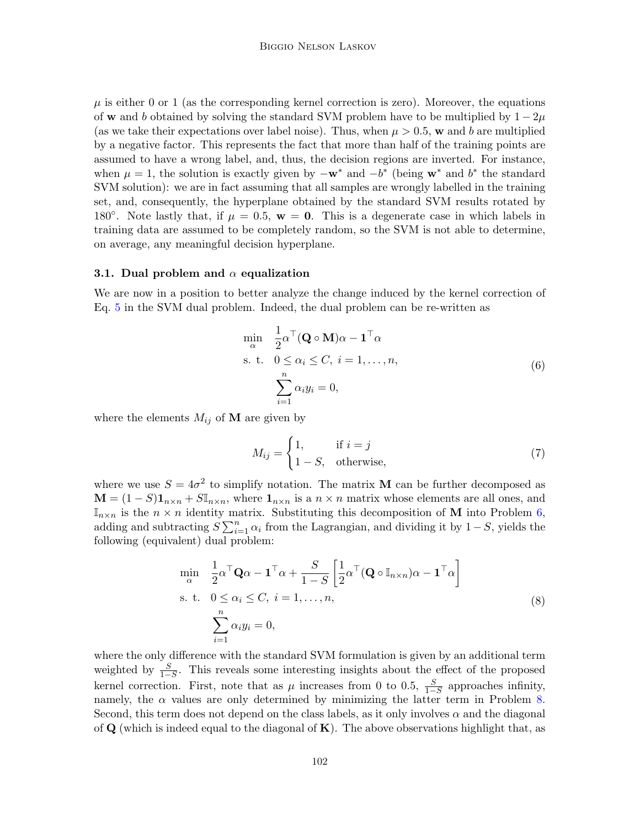$\mu$  is either 0 or 1 (as the corresponding kernel correction is zero). Moreover, the equations of w and b obtained by solving the standard SVM problem have to be multiplied by  $1 - 2\mu$ (as we take their expectations over label noise). Thus, when  $\mu > 0.5$ , w and b are multiplied by a negative factor. This represents the fact that more than half of the training points are assumed to have a wrong label, and, thus, the decision regions are inverted. For instance, when  $\mu = 1$ , the solution is exactly given by  $-\mathbf{w}^*$  and  $-b^*$  (being  $\mathbf{w}^*$  and  $b^*$  the standard SVM solution): we are in fact assuming that all samples are wrongly labelled in the training set, and, consequently, the hyperplane obtained by the standard SVM results rotated by 180<sup>°</sup>. Note lastly that, if  $\mu = 0.5$ ,  $\mathbf{w} = \mathbf{0}$ . This is a degenerate case in which labels in training data are assumed to be completely random, so the SVM is not able to determine, on average, any meaningful decision hyperplane.

### <span id="page-5-2"></span>3.1. Dual problem and  $\alpha$  equalization

We are now in a position to better analyze the change induced by the kernel correction of Eq. [5](#page-4-1) in the SVM dual problem. Indeed, the dual problem can be re-written as

<span id="page-5-0"></span>
$$
\min_{\alpha} \quad \frac{1}{2} \alpha^{\top} (\mathbf{Q} \circ \mathbf{M}) \alpha - \mathbf{1}^{\top} \alpha
$$
\n
$$
\text{s. t.} \quad 0 \le \alpha_i \le C, \ i = 1, \dots, n,
$$
\n
$$
\sum_{i=1}^{n} \alpha_i y_i = 0,
$$
\n
$$
(6)
$$

where the elements  $M_{ij}$  of **M** are given by

$$
M_{ij} = \begin{cases} 1, & \text{if } i = j \\ 1 - S, & \text{otherwise,} \end{cases} \tag{7}
$$

where we use  $S = 4\sigma^2$  to simplify notation. The matrix **M** can be further decomposed as  $\mathbf{M} = (1 - S)\mathbf{1}_{n \times n} + S\mathbb{I}_{n \times n}$ , where  $\mathbf{1}_{n \times n}$  is a  $n \times n$  matrix whose elements are all ones, and  $\mathbb{I}_{n\times n}$  is the  $n \times n$  identity matrix. Substituting this decomposition of **M** into Problem [6,](#page-5-0) adding and subtracting  $S \sum_{i=1}^{n} \alpha_i$  from the Lagrangian, and dividing it by 1 – S, yields the following (equivalent) dual problem:

<span id="page-5-1"></span>
$$
\min_{\alpha} \quad \frac{1}{2} \alpha^{\top} \mathbf{Q} \alpha - \mathbf{1}^{\top} \alpha + \frac{S}{1 - S} \left[ \frac{1}{2} \alpha^{\top} (\mathbf{Q} \circ \mathbb{I}_{n \times n}) \alpha - \mathbf{1}^{\top} \alpha \right]
$$
\n
$$
\text{s. t.} \quad 0 \le \alpha_i \le C, \ i = 1, \dots, n,
$$
\n
$$
\sum_{i=1}^{n} \alpha_i y_i = 0,
$$
\n
$$
(8)
$$

where the only difference with the standard SVM formulation is given by an additional term weighted by  $\frac{S}{1-S}$ . This reveals some interesting insights about the effect of the proposed kernel correction. First, note that as  $\mu$  increases from 0 to 0.5,  $\frac{S}{1-S}$  approaches infinity, namely, the  $\alpha$  values are only determined by minimizing the latter term in Problem [8.](#page-5-1) Second, this term does not depend on the class labels, as it only involves  $\alpha$  and the diagonal of  $\bf{Q}$  (which is indeed equal to the diagonal of  $\bf{K}$ ). The above observations highlight that, as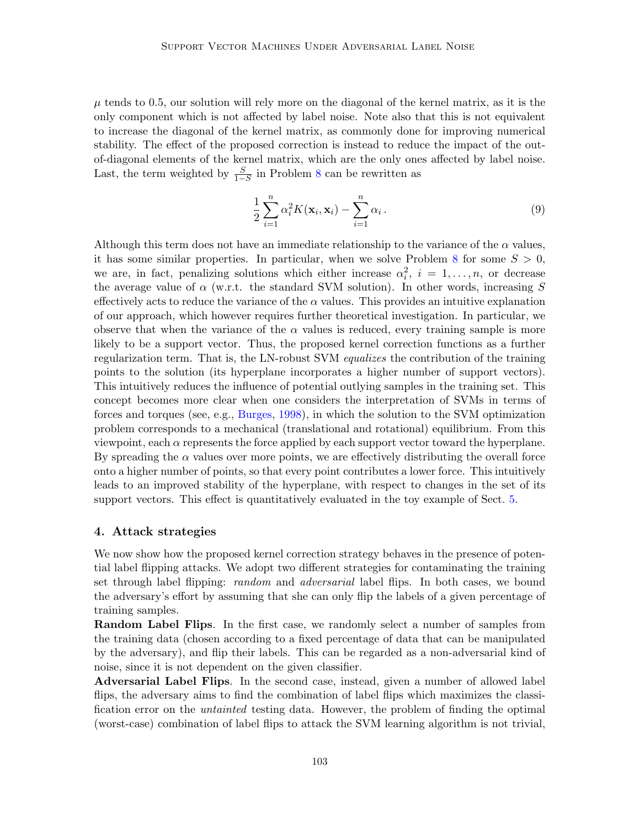$\mu$  tends to 0.5, our solution will rely more on the diagonal of the kernel matrix, as it is the only component which is not affected by label noise. Note also that this is not equivalent to increase the diagonal of the kernel matrix, as commonly done for improving numerical stability. The effect of the proposed correction is instead to reduce the impact of the outof-diagonal elements of the kernel matrix, which are the only ones affected by label noise. Last, the term weighted by  $\frac{S}{1-S}$  in Problem [8](#page-5-1) can be rewritten as

$$
\frac{1}{2}\sum_{i=1}^{n}\alpha_i^2 K(\mathbf{x}_i, \mathbf{x}_i) - \sum_{i=1}^{n}\alpha_i.
$$
\n(9)

Although this term does not have an immediate relationship to the variance of the  $\alpha$  values, it has some similar properties. In particular, when we solve Problem [8](#page-5-1) for some  $S > 0$ , we are, in fact, penalizing solutions which either increase  $\alpha_i^2$ ,  $i = 1, \ldots, n$ , or decrease the average value of  $\alpha$  (w.r.t. the standard SVM solution). In other words, increasing S effectively acts to reduce the variance of the  $\alpha$  values. This provides an intuitive explanation of our approach, which however requires further theoretical investigation. In particular, we observe that when the variance of the  $\alpha$  values is reduced, every training sample is more likely to be a support vector. Thus, the proposed kernel correction functions as a further regularization term. That is, the LN-robust SVM equalizes the contribution of the training points to the solution (its hyperplane incorporates a higher number of support vectors). This intuitively reduces the influence of potential outlying samples in the training set. This concept becomes more clear when one considers the interpretation of SVMs in terms of forces and torques (see, e.g., [Burges,](#page-14-3) [1998\)](#page-14-3), in which the solution to the SVM optimization problem corresponds to a mechanical (translational and rotational) equilibrium. From this viewpoint, each  $\alpha$  represents the force applied by each support vector toward the hyperplane. By spreading the  $\alpha$  values over more points, we are effectively distributing the overall force onto a higher number of points, so that every point contributes a lower force. This intuitively leads to an improved stability of the hyperplane, with respect to changes in the set of its support vectors. This effect is quantitatively evaluated in the toy example of Sect. [5.](#page-7-0)

#### <span id="page-6-0"></span>4. Attack strategies

We now show how the proposed kernel correction strategy behaves in the presence of potential label flipping attacks. We adopt two different strategies for contaminating the training set through label flipping: *random* and *adversarial* label flips. In both cases, we bound the adversary's effort by assuming that she can only flip the labels of a given percentage of training samples.

Random Label Flips. In the first case, we randomly select a number of samples from the training data (chosen according to a fixed percentage of data that can be manipulated by the adversary), and flip their labels. This can be regarded as a non-adversarial kind of noise, since it is not dependent on the given classifier.

Adversarial Label Flips. In the second case, instead, given a number of allowed label flips, the adversary aims to find the combination of label flips which maximizes the classification error on the untainted testing data. However, the problem of finding the optimal (worst-case) combination of label flips to attack the SVM learning algorithm is not trivial,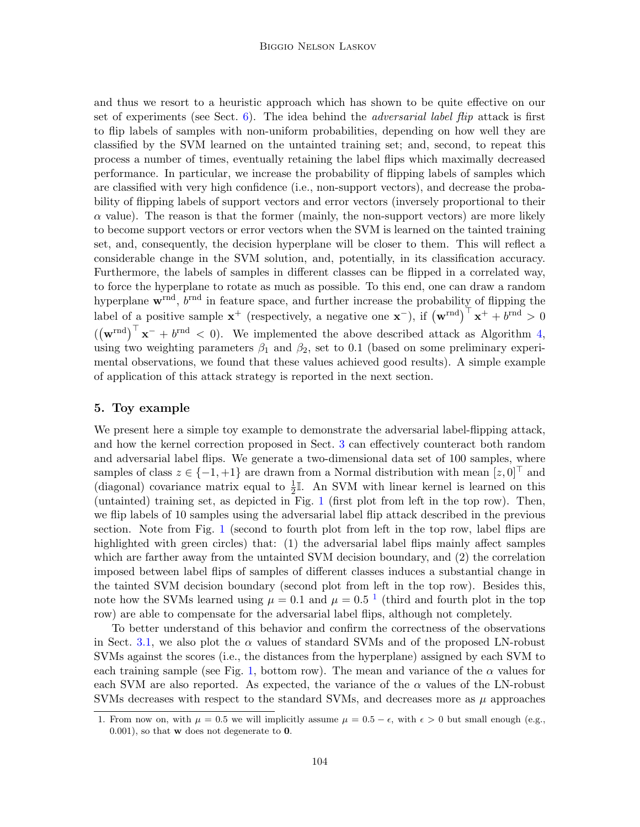and thus we resort to a heuristic approach which has shown to be quite effective on our set of experiments (see Sect.  $6$ ). The idea behind the *adversarial label flip* attack is first to flip labels of samples with non-uniform probabilities, depending on how well they are classified by the SVM learned on the untainted training set; and, second, to repeat this process a number of times, eventually retaining the label flips which maximally decreased performance. In particular, we increase the probability of flipping labels of samples which are classified with very high confidence (i.e., non-support vectors), and decrease the probability of flipping labels of support vectors and error vectors (inversely proportional to their  $\alpha$  value). The reason is that the former (mainly, the non-support vectors) are more likely to become support vectors or error vectors when the SVM is learned on the tainted training set, and, consequently, the decision hyperplane will be closer to them. This will reflect a considerable change in the SVM solution, and, potentially, in its classification accuracy. Furthermore, the labels of samples in different classes can be flipped in a correlated way, to force the hyperplane to rotate as much as possible. To this end, one can draw a random hyperplane  $\mathbf{w}^{\text{rnd}}$ ,  $b^{\text{rnd}}$  in feature space, and further increase the probability of flipping the label of a positive sample  $\mathbf{x}^+$  (respectively, a negative one  $\mathbf{x}^-$ ), if  $(\mathbf{w}^{\text{rnd}})^{\top} \mathbf{x}^+ + b^{\text{rnd}} > 0$  $((\mathbf{w}^{\text{rnd}})^{\top} \mathbf{x}^- + b^{\text{rnd}} < 0)$ . We implemented the above described attack as Algorithm [4,](#page-6-0) using two weighting parameters  $\beta_1$  and  $\beta_2$ , set to 0.1 (based on some preliminary experimental observations, we found that these values achieved good results). A simple example of application of this attack strategy is reported in the next section.

## <span id="page-7-0"></span>5. Toy example

We present here a simple toy example to demonstrate the adversarial label-flipping attack, and how the kernel correction proposed in Sect. [3](#page-4-2) can effectively counteract both random and adversarial label flips. We generate a two-dimensional data set of 100 samples, where samples of class  $z \in \{-1, +1\}$  are drawn from a Normal distribution with mean  $[z, 0]^\top$  and (diagonal) covariance matrix equal to  $\frac{1}{2}$ . An SVM with linear kernel is learned on this (untainted) training set, as depicted in Fig. [1](#page-9-1) (first plot from left in the top row). Then, we flip labels of 10 samples using the adversarial label flip attack described in the previous section. Note from Fig. [1](#page-9-1) (second to fourth plot from left in the top row, label flips are highlighted with green circles) that: (1) the adversarial label flips mainly affect samples which are farther away from the untainted SVM decision boundary, and  $(2)$  the correlation imposed between label flips of samples of different classes induces a substantial change in the tainted SVM decision boundary (second plot from left in the top row). Besides this, note how the SVMs learned using  $\mu = 0.1$  $\mu = 0.1$  and  $\mu = 0.5^{-1}$  (third and fourth plot in the top row) are able to compensate for the adversarial label flips, although not completely.

To better understand of this behavior and confirm the correctness of the observations in Sect. [3.1,](#page-5-2) we also plot the  $\alpha$  values of standard SVMs and of the proposed LN-robust SVMs against the scores (i.e., the distances from the hyperplane) assigned by each SVM to each training sample (see Fig. [1,](#page-9-1) bottom row). The mean and variance of the  $\alpha$  values for each SVM are also reported. As expected, the variance of the  $\alpha$  values of the LN-robust SVMs decreases with respect to the standard SVMs, and decreases more as  $\mu$  approaches

<span id="page-7-1"></span><sup>1.</sup> From now on, with  $\mu = 0.5$  we will implicitly assume  $\mu = 0.5 - \epsilon$ , with  $\epsilon > 0$  but small enough (e.g., 0.001), so that w does not degenerate to 0.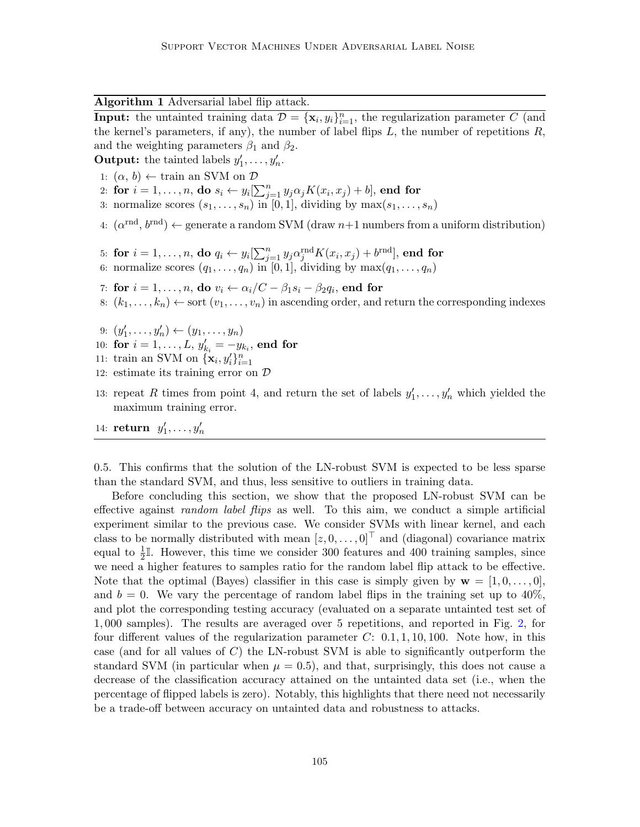Algorithm 1 Adversarial label flip attack.

**Input:** the untainted training data  $\mathcal{D} = {\mathbf{x}_i, y_i}_{i=1}^n$ , the regularization parameter C (and the kernel's parameters, if any), the number of label flips  $L$ , the number of repetitions  $R$ , and the weighting parameters  $\beta_1$  and  $\beta_2$ .

**Output:** the tainted labels  $y'_1, \ldots, y'_n$ .

- 1:  $(\alpha, b) \leftarrow \text{train}$  an SVM on  $D$
- 2: for  $i = 1, \ldots, n$ , do  $s_i \leftarrow y_i[\sum_{j=1}^n y_j \alpha_j K(x_i, x_j) + b]$ , end for
- 3: normalize scores  $(s_1, \ldots, s_n)$  in [0, 1], dividing by  $\max(s_1, \ldots, s_n)$
- 4:  $(\alpha^{\text{rnd}}, b^{\text{rnd}}) \leftarrow$  generate a random SVM (draw  $n+1$  numbers from a uniform distribution)
- 5: for  $i=1,\ldots,n,$  do  $q_i \leftarrow y_i[\sum_{j=1}^n y_j \alpha^{\mathrm{rnd}}_j K(x_i, x_j) + b^{\mathrm{rnd}}],$  end for
- 6: normalize scores  $(q_1, \ldots, q_n)$  in [0, 1], dividing by  $\max(q_1, \ldots, q_n)$
- 7: for  $i=1,\ldots,n,$  do  $v_i \leftarrow \alpha_i/C \beta_1 s_i \beta_2 q_i,$  end for
- 8:  $(k_1, \ldots, k_n) \leftarrow$  sort  $(v_1, \ldots, v_n)$  in ascending order, and return the corresponding indexes
- 9:  $(y'_1, \ldots, y'_n) \leftarrow (y_1, \ldots, y_n)$
- 10: for  $i = 1, ..., L$ ,  $y'_{k_i} = -y_{k_i}$ , end for
- 11: train an SVM on  $\{\mathbf{x}_i, y_i'\}_{i=1}^n$
- 12: estimate its training error on D
- 13: repeat R times from point 4, and return the set of labels  $y'_1, \ldots, y'_n$  which yielded the maximum training error.
- 14: return  $y'_1, \ldots, y'_n$

0.5. This confirms that the solution of the LN-robust SVM is expected to be less sparse than the standard SVM, and thus, less sensitive to outliers in training data.

Before concluding this section, we show that the proposed LN-robust SVM can be effective against *random label flips* as well. To this aim, we conduct a simple artificial experiment similar to the previous case. We consider SVMs with linear kernel, and each class to be normally distributed with mean  $[z, 0, \ldots, 0]^T$  and (diagonal) covariance matrix equal to  $\frac{1}{2}$ . However, this time we consider 300 features and 400 training samples, since we need a higher features to samples ratio for the random label flip attack to be effective. Note that the optimal (Bayes) classifier in this case is simply given by  $\mathbf{w} = [1, 0, \ldots, 0],$ and  $b = 0$ . We vary the percentage of random label flips in the training set up to  $40\%$ , and plot the corresponding testing accuracy (evaluated on a separate untainted test set of 1, 000 samples). The results are averaged over 5 repetitions, and reported in Fig. [2,](#page-9-2) for four different values of the regularization parameter  $C: [0.1, 1, 10, 100]$ . Note how, in this case (and for all values of  $C$ ) the LN-robust SVM is able to significantly outperform the standard SVM (in particular when  $\mu = 0.5$ ), and that, surprisingly, this does not cause a decrease of the classification accuracy attained on the untainted data set (i.e., when the percentage of flipped labels is zero). Notably, this highlights that there need not necessarily be a trade-off between accuracy on untainted data and robustness to attacks.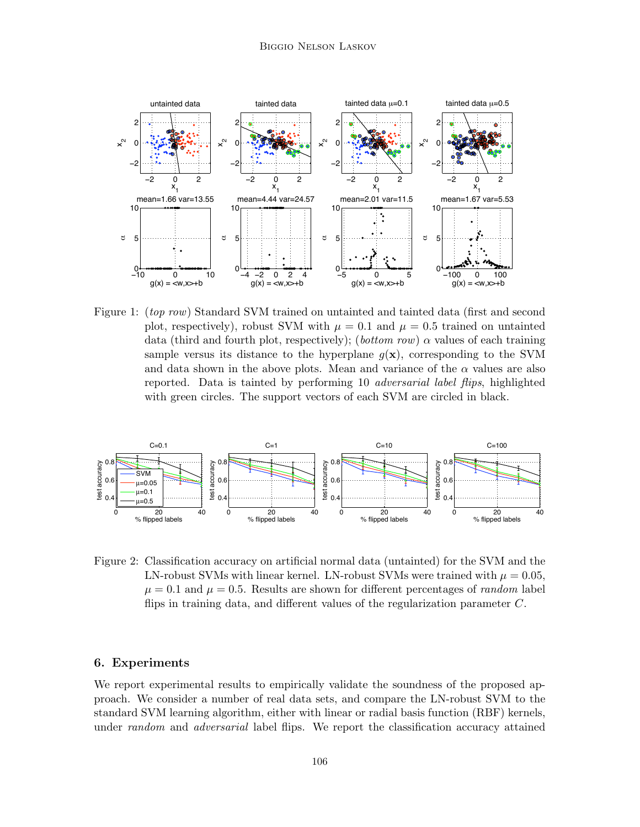

<span id="page-9-1"></span>Figure 1: *(top row)* Standard SVM trained on untainted and tainted data *(first and second*) plot, respectively), robust SVM with  $\mu = 0.1$  and  $\mu = 0.5$  trained on untainted data (third and fourth plot, respectively); (bottom row)  $\alpha$  values of each training sample versus its distance to the hyperplane  $q(x)$ , corresponding to the SVM and data shown in the above plots. Mean and variance of the  $\alpha$  values are also reported. Data is tainted by performing 10 adversarial label flips, highlighted with green circles. The support vectors of each SVM are circled in black.



<span id="page-9-2"></span>Figure 2: Classification accuracy on artificial normal data (untainted) for the SVM and the LN-robust SVMs with linear kernel. LN-robust SVMs were trained with  $\mu = 0.05$ .  $\mu = 0.1$  and  $\mu = 0.5$ . Results are shown for different percentages of *random* label flips in training data, and different values of the regularization parameter  $C$ .

### <span id="page-9-0"></span>6. Experiments

We report experimental results to empirically validate the soundness of the proposed approach. We consider a number of real data sets, and compare the LN-robust SVM to the standard SVM learning algorithm, either with linear or radial basis function (RBF) kernels, under random and adversarial label flips. We report the classification accuracy attained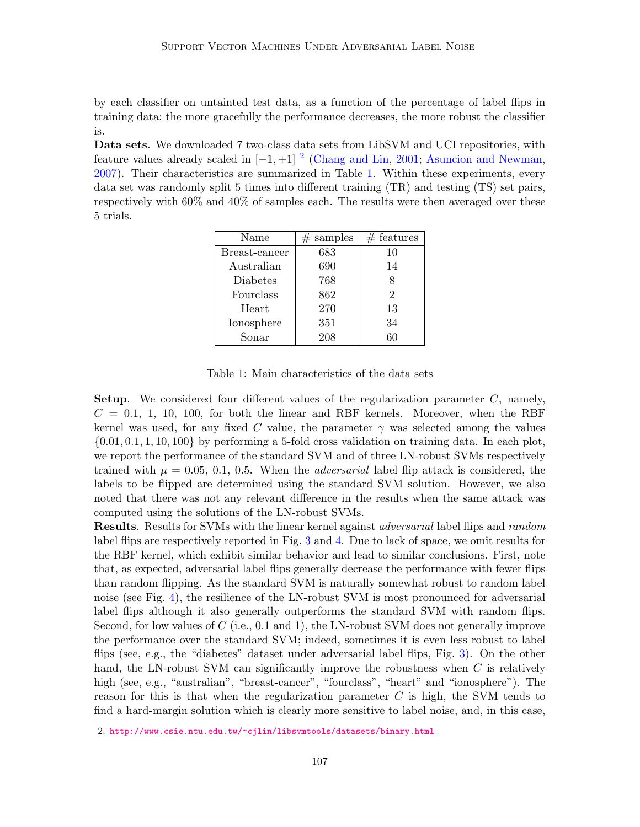by each classifier on untainted test data, as a function of the percentage of label flips in training data; the more gracefully the performance decreases, the more robust the classifier is.

Data sets. We downloaded 7 two-class data sets from LibSVM and UCI repositories, with feature values already scaled in  $[-1, +1]$ <sup>[2](#page-10-0)</sup> [\(Chang and Lin,](#page-14-4) [2001;](#page-14-4) [Asuncion and Newman,](#page-14-5) [2007\)](#page-14-5). Their characteristics are summarized in Table [1.](#page-10-1) Within these experiments, every data set was randomly split 5 times into different training (TR) and testing (TS) set pairs, respectively with 60% and 40% of samples each. The results were then averaged over these 5 trials.

| Name          | samples<br># | $#$ features   |
|---------------|--------------|----------------|
| Breast-cancer | 683          | 10             |
| Australian    | 690          | 14             |
| Diabetes      | 768          |                |
| Fourclass     | 862          | $\overline{2}$ |
| Heart         | 270          | 13             |
| Ionosphere    | 351          | 34             |
| Sonar         | 208          | 60             |

Table 1: Main characteristics of the data sets

<span id="page-10-1"></span>**Setup.** We considered four different values of the regularization parameter  $C$ , namely,  $C = 0.1, 1, 10, 100$ , for both the linear and RBF kernels. Moreover, when the RBF kernel was used, for any fixed C value, the parameter  $\gamma$  was selected among the values  $\{0.01, 0.1, 1, 10, 100\}$  by performing a 5-fold cross validation on training data. In each plot, we report the performance of the standard SVM and of three LN-robust SVMs respectively trained with  $\mu = 0.05, 0.1, 0.5$ . When the *adversarial* label flip attack is considered, the labels to be flipped are determined using the standard SVM solution. However, we also noted that there was not any relevant difference in the results when the same attack was computed using the solutions of the LN-robust SVMs.

**Results.** Results for SVMs with the linear kernel against *adversarial* label flips and *random* label flips are respectively reported in Fig. [3](#page-12-0) and [4.](#page-13-0) Due to lack of space, we omit results for the RBF kernel, which exhibit similar behavior and lead to similar conclusions. First, note that, as expected, adversarial label flips generally decrease the performance with fewer flips than random flipping. As the standard SVM is naturally somewhat robust to random label noise (see Fig. [4\)](#page-13-0), the resilience of the LN-robust SVM is most pronounced for adversarial label flips although it also generally outperforms the standard SVM with random flips. Second, for low values of  $C$  (i.e., 0.1 and 1), the LN-robust SVM does not generally improve the performance over the standard SVM; indeed, sometimes it is even less robust to label flips (see, e.g., the "diabetes" dataset under adversarial label flips, Fig. [3\)](#page-12-0). On the other hand, the LN-robust SVM can significantly improve the robustness when C is relatively high (see, e.g., "australian", "breast-cancer", "fourclass", "heart" and "ionosphere"). The reason for this is that when the regularization parameter  $C$  is high, the SVM tends to find a hard-margin solution which is clearly more sensitive to label noise, and, in this case,

<span id="page-10-0"></span><sup>2.</sup> <http://www.csie.ntu.edu.tw/~cjlin/libsvmtools/datasets/binary.html>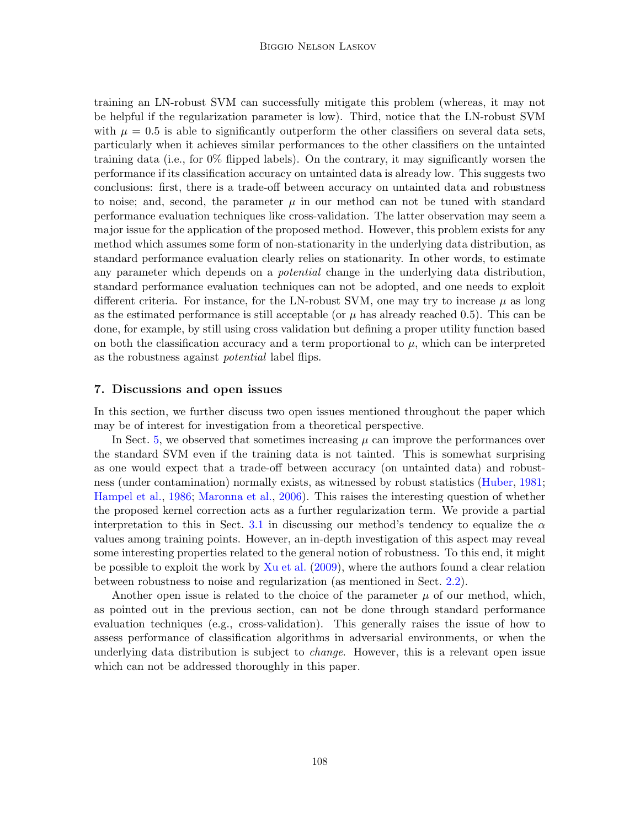training an LN-robust SVM can successfully mitigate this problem (whereas, it may not be helpful if the regularization parameter is low). Third, notice that the LN-robust SVM with  $\mu = 0.5$  is able to significantly outperform the other classifiers on several data sets, particularly when it achieves similar performances to the other classifiers on the untainted training data (i.e., for 0% flipped labels). On the contrary, it may significantly worsen the performance if its classification accuracy on untainted data is already low. This suggests two conclusions: first, there is a trade-off between accuracy on untainted data and robustness to noise; and, second, the parameter  $\mu$  in our method can not be tuned with standard performance evaluation techniques like cross-validation. The latter observation may seem a major issue for the application of the proposed method. However, this problem exists for any method which assumes some form of non-stationarity in the underlying data distribution, as standard performance evaluation clearly relies on stationarity. In other words, to estimate any parameter which depends on a *potential* change in the underlying data distribution, standard performance evaluation techniques can not be adopted, and one needs to exploit different criteria. For instance, for the LN-robust SVM, one may try to increase  $\mu$  as long as the estimated performance is still acceptable (or  $\mu$  has already reached 0.5). This can be done, for example, by still using cross validation but defining a proper utility function based on both the classification accuracy and a term proportional to  $\mu$ , which can be interpreted as the robustness against potential label flips.

# 7. Discussions and open issues

In this section, we further discuss two open issues mentioned throughout the paper which may be of interest for investigation from a theoretical perspective.

In Sect. [5,](#page-7-0) we observed that sometimes increasing  $\mu$  can improve the performances over the standard SVM even if the training data is not tainted. This is somewhat surprising as one would expect that a trade-off between accuracy (on untainted data) and robustness (under contamination) normally exists, as witnessed by robust statistics [\(Huber,](#page-15-14) [1981;](#page-15-14) [Hampel et al.,](#page-15-15) [1986;](#page-15-15) [Maronna et al.,](#page-15-16) [2006\)](#page-15-16). This raises the interesting question of whether the proposed kernel correction acts as a further regularization term. We provide a partial interpretation to this in Sect. [3.1](#page-5-2) in discussing our method's tendency to equalize the  $\alpha$ values among training points. However, an in-depth investigation of this aspect may reveal some interesting properties related to the general notion of robustness. To this end, it might be possible to exploit the work by [Xu et al.](#page-15-9) [\(2009\)](#page-15-9), where the authors found a clear relation between robustness to noise and regularization (as mentioned in Sect. [2.2\)](#page-3-1).

Another open issue is related to the choice of the parameter  $\mu$  of our method, which, as pointed out in the previous section, can not be done through standard performance evaluation techniques (e.g., cross-validation). This generally raises the issue of how to assess performance of classification algorithms in adversarial environments, or when the underlying data distribution is subject to *change*. However, this is a relevant open issue which can not be addressed thoroughly in this paper.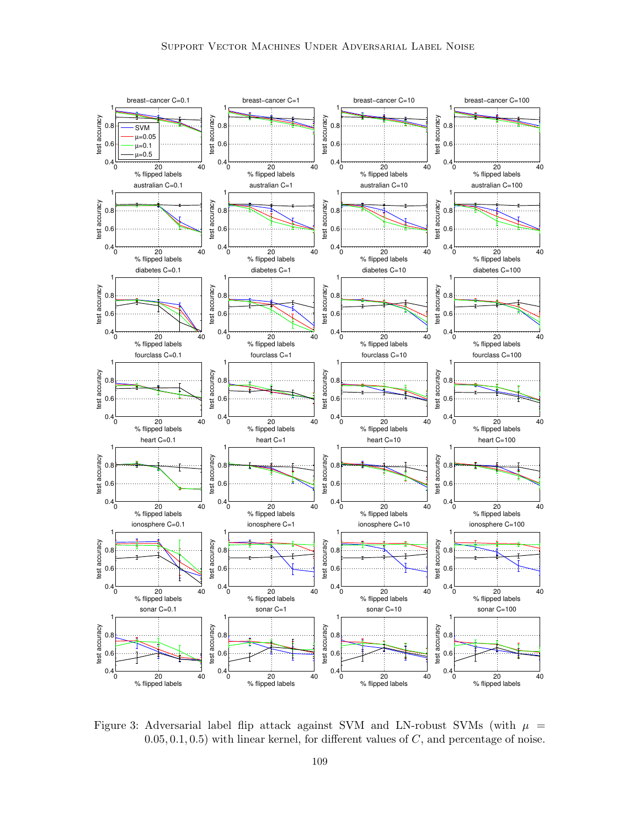

<span id="page-12-0"></span>Figure 3: Adversarial label flip attack against SVM and LN-robust SVMs (with  $\mu$  =  $(0.05, 0.1, 0.5)$  with linear kernel, for different values of  $C$ , and percentage of noise.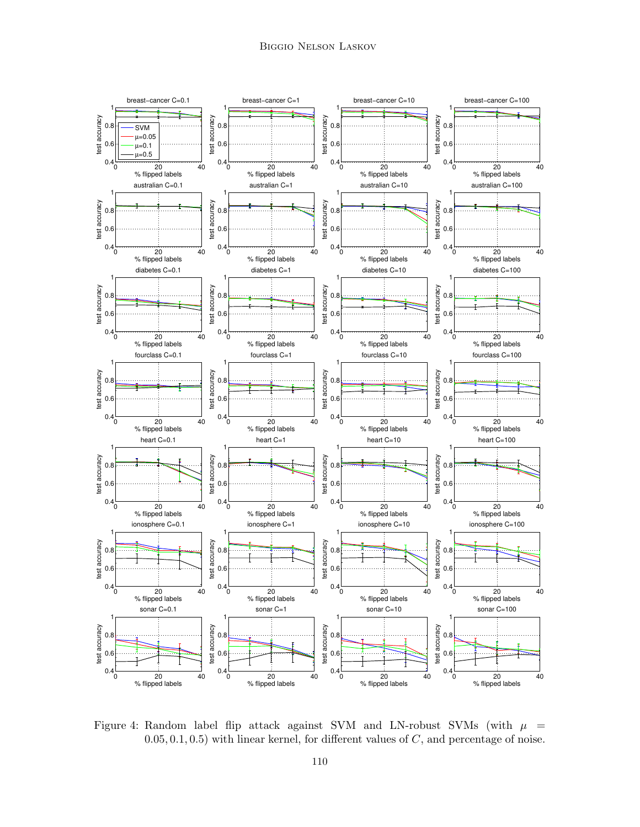

<span id="page-13-0"></span>Figure 4: Random label flip attack against SVM and LN-robust SVMs (with  $\mu$  =  $(0.05, 0.1, 0.5)$  with linear kernel, for different values of C, and percentage of noise.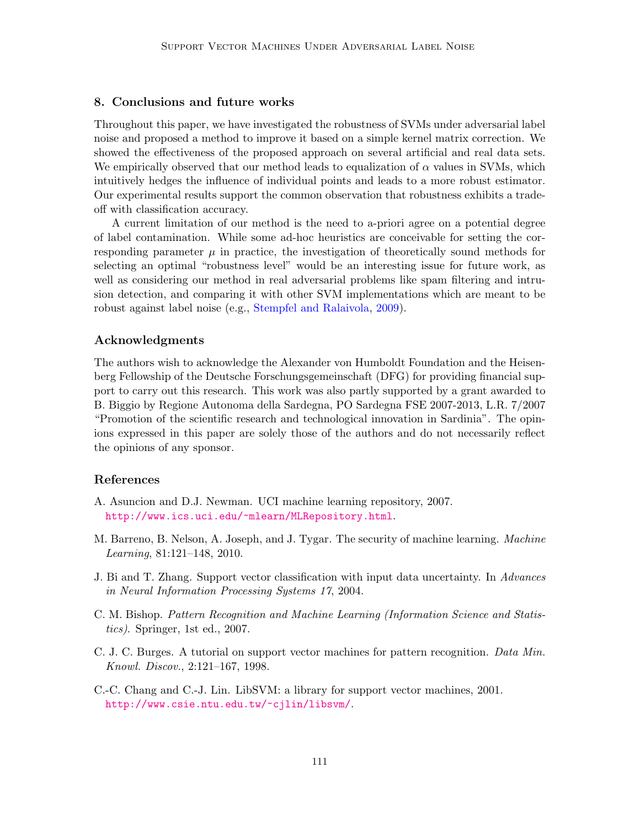# 8. Conclusions and future works

Throughout this paper, we have investigated the robustness of SVMs under adversarial label noise and proposed a method to improve it based on a simple kernel matrix correction. We showed the effectiveness of the proposed approach on several artificial and real data sets. We empirically observed that our method leads to equalization of  $\alpha$  values in SVMs, which intuitively hedges the influence of individual points and leads to a more robust estimator. Our experimental results support the common observation that robustness exhibits a tradeoff with classification accuracy.

A current limitation of our method is the need to a-priori agree on a potential degree of label contamination. While some ad-hoc heuristics are conceivable for setting the corresponding parameter  $\mu$  in practice, the investigation of theoretically sound methods for selecting an optimal "robustness level" would be an interesting issue for future work, as well as considering our method in real adversarial problems like spam filtering and intrusion detection, and comparing it with other SVM implementations which are meant to be robust against label noise (e.g., [Stempfel and Ralaivola,](#page-15-12) [2009\)](#page-15-12).

### Acknowledgments

The authors wish to acknowledge the Alexander von Humboldt Foundation and the Heisenberg Fellowship of the Deutsche Forschungsgemeinschaft (DFG) for providing financial support to carry out this research. This work was also partly supported by a grant awarded to B. Biggio by Regione Autonoma della Sardegna, PO Sardegna FSE 2007-2013, L.R. 7/2007 "Promotion of the scientific research and technological innovation in Sardinia". The opinions expressed in this paper are solely those of the authors and do not necessarily reflect the opinions of any sponsor.

# References

- <span id="page-14-5"></span>A. Asuncion and D.J. Newman. UCI machine learning repository, 2007. <http://www.ics.uci.edu/~mlearn/MLRepository.html>.
- <span id="page-14-1"></span>M. Barreno, B. Nelson, A. Joseph, and J. Tygar. The security of machine learning. Machine Learning, 81:121–148, 2010.
- <span id="page-14-2"></span>J. Bi and T. Zhang. Support vector classification with input data uncertainty. In Advances in Neural Information Processing Systems 17, 2004.
- <span id="page-14-0"></span>C. M. Bishop. Pattern Recognition and Machine Learning (Information Science and Statistics). Springer, 1st ed., 2007.
- <span id="page-14-3"></span>C. J. C. Burges. A tutorial on support vector machines for pattern recognition. Data Min. Knowl. Discov., 2:121–167, 1998.
- <span id="page-14-4"></span>C.-C. Chang and C.-J. Lin. LibSVM: a library for support vector machines, 2001. <http://www.csie.ntu.edu.tw/~cjlin/libsvm/>.